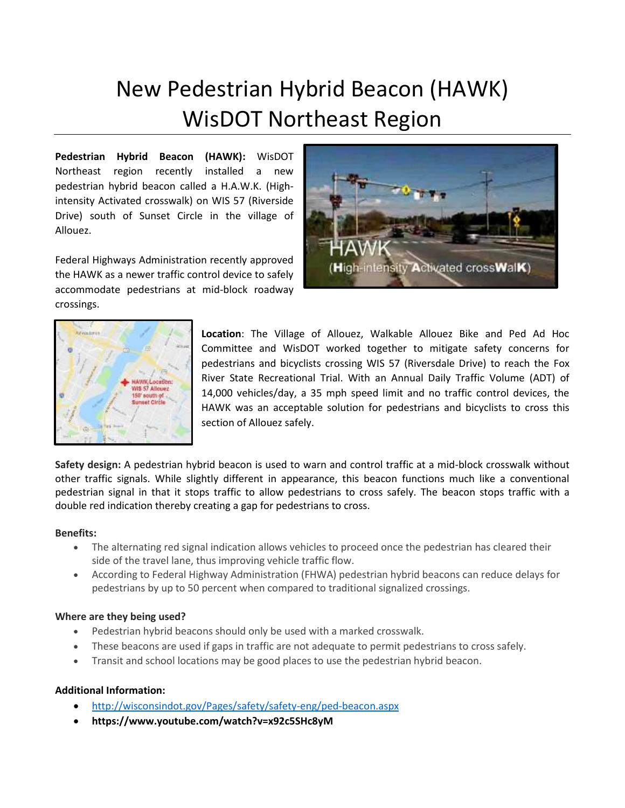# New Pedestrian Hybrid Beacon (HAWK) WisDOT Northeast Region

**Pedestrian Hybrid Beacon (HAWK):** WisDOT Northeast region recently installed a new pedestrian hybrid beacon called a H.A.W.K. (Highintensity Activated crosswalk) on WIS 57 (Riverside Drive) south of Sunset Circle in the village of Allouez.

Federal Highways Administration recently approved the HAWK as a newer traffic control device to safely accommodate pedestrians at mid-block roadway crossings.





**Location**: The Village of Allouez, Walkable Allouez Bike and Ped Ad Hoc Committee and WisDOT worked together to mitigate safety concerns for pedestrians and bicyclists crossing WIS 57 (Riversdale Drive) to reach the Fox River State Recreational Trial. With an Annual Daily Traffic Volume (ADT) of 14,000 vehicles/day, a 35 mph speed limit and no traffic control devices, the HAWK was an acceptable solution for pedestrians and bicyclists to cross this section of Allouez safely.

**Safety design:** A pedestrian hybrid beacon is used to warn and control traffic at a mid-block crosswalk without other traffic signals. While slightly different in appearance, this beacon functions much like a conventional pedestrian signal in that it stops traffic to allow pedestrians to cross safely. The beacon stops traffic with a double red indication thereby creating a gap for pedestrians to cross.

## **Benefits:**

- The alternating red signal indication allows vehicles to proceed once the pedestrian has cleared their side of the travel lane, thus improving vehicle traffic flow.
- According to Federal Highway Administration (FHWA) pedestrian hybrid beacons can reduce delays for pedestrians by up to 50 percent when compared to traditional signalized crossings.

## **Where are they being used?**

- Pedestrian hybrid beacons should only be used with a marked crosswalk.
- These beacons are used if gaps in traffic are not adequate to permit pedestrians to cross safely.
- Transit and school locations may be good places to use the pedestrian hybrid beacon.

## **Additional Information:**

- <http://wisconsindot.gov/Pages/safety/safety-eng/ped-beacon.aspx>
- **https://www.youtube.com/watch?v=x92c5SHc8yM**